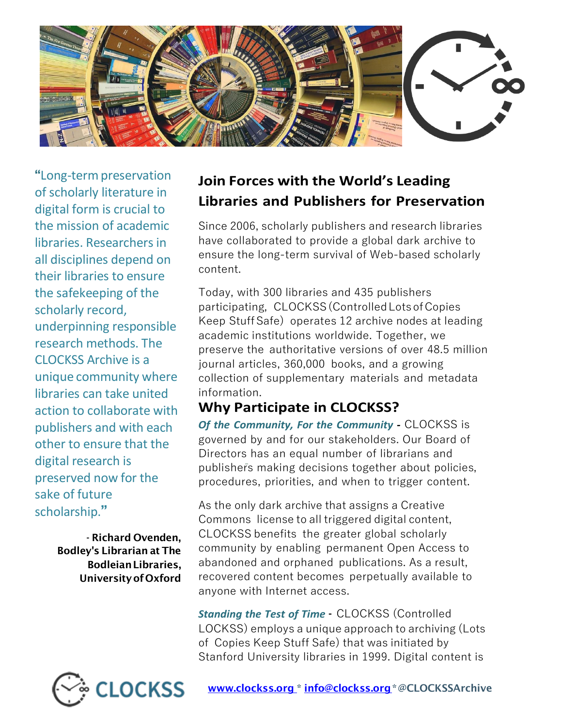

"Long-termpreservation of scholarly literature in digital form is crucial to the mission of academic libraries. Researchers in all disciplines depend on their libraries to ensure the safekeeping of the scholarly record, underpinning responsible research methods. The CLOCKSS Archive is a unique community where libraries can take united action to collaborate with publishers and with each other to ensure that the digital research is preserved now for the sake of future scholarship."

> - Richard Ovenden, Bodley's Librarian at The BodleianLibraries, UniversityofOxford

# **Join Forces with the World's Leading Libraries and Publishers for Preservation**

Since 2006, scholarly publishers and research libraries have collaborated to provide a global dark archive to ensure the long-term survival of Web-based scholarly content.

Today, with 300 libraries and 435 publishers participating, CLOCKSS (Controlled Lots ofCopies Keep Stuff Safe) operates 12 archive nodes at leading academic institutions worldwide. Together, we preserve the authoritative versions of over 48.5 million journal articles, 360,000 books, and a growing collection of supplementary materials and metadata information.

## **Why Participate in CLOCKSS?**

*Of the Community, For the Community -* CLOCKSS is governed by and for our stakeholders. Our Board of Directors has an equal number of librarians and publishers making decisions together about policies, procedures, priorities, and when to trigger content.

As the only dark archive that assigns a Creative Commons license to all triggered digital content, CLOCKSS benefits the greater global scholarly community by enabling permanent Open Access to abandoned and orphaned publications. As a result, recovered content becomes perpetually available to anyone with Internet access.

*Standing the Test of Time* - CLOCKSS (Controlled LOCKSS) employs a unique approach to archiving (Lots of Copies Keep Stuff Safe) that was initiated by Stanford University libraries in 1999. Digital content is

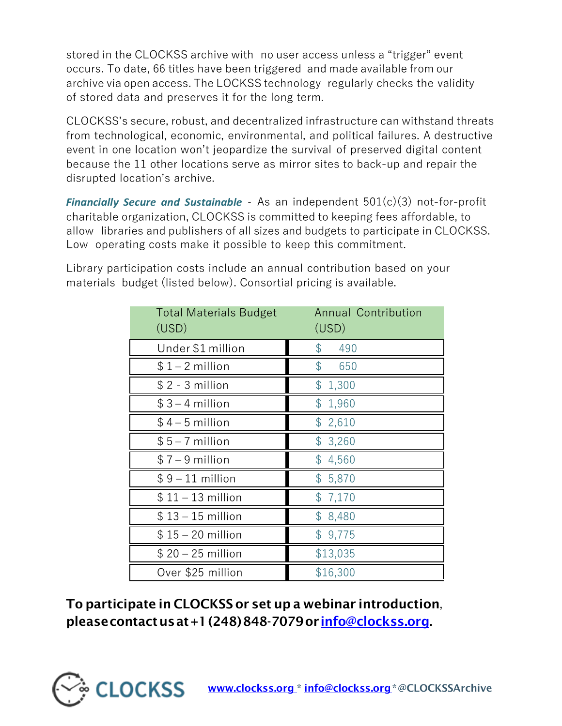stored in the CLOCKSS archive with no user access unless a "trigger" event occurs. To date, 66 titles have been triggered and made available from our archive via open access. The LOCKSS technology regularly checks the validity of stored data and preserves it for the long term.

CLOCKSS's secure, robust, and decentralized infrastructure can withstand threats from technological, economic, environmental, and political failures. A destructive event in one location won't jeopardize the survival of preserved digital content because the 11 other locations serve as mirror sites to back-up and repair the disrupted location's archive.

*Financially Secure and Sustainable -* As an independent 501(c)(3) not-for-profit charitable organization, CLOCKSS is committed to keeping fees affordable, to allow libraries and publishers of all sizes and budgets to participate in CLOCKSS. Low operating costs make it possible to keep this commitment.

| <b>Total Materials Budget</b><br>(USD) | <b>Annual Contribution</b><br>(USD) |
|----------------------------------------|-------------------------------------|
| Under \$1 million                      | \$<br>490                           |
| $$1 - 2$ million                       | $\mathcal{L}$<br>650                |
| $$2 - 3$ million                       | \$1,300                             |
| $$3-4$ million                         | \$1,960                             |
| $$4-5$ million                         | \$2,610                             |
| $$5-7$ million                         | \$3,260                             |
| $$7 - 9$ million                       | \$4,560                             |
| $$9-11$ million                        | \$5,870                             |
| $$11 - 13$ million                     | \$7,170                             |
| $$13 - 15$ million                     | \$8,480                             |
| $$15 - 20$ million                     | \$9,775                             |
| $$20 - 25$ million                     | \$13,035                            |
| Over \$25 million                      | \$16,300                            |

Library participation costs include an annual contribution based on your materials budget (listed below). Consortial pricing is available.

To participate in CLOCKSS or set up a webinar introduction, pleasecontactusat+1(248)848-7079or [info@clockss.org](mailto:info@clockss.org).

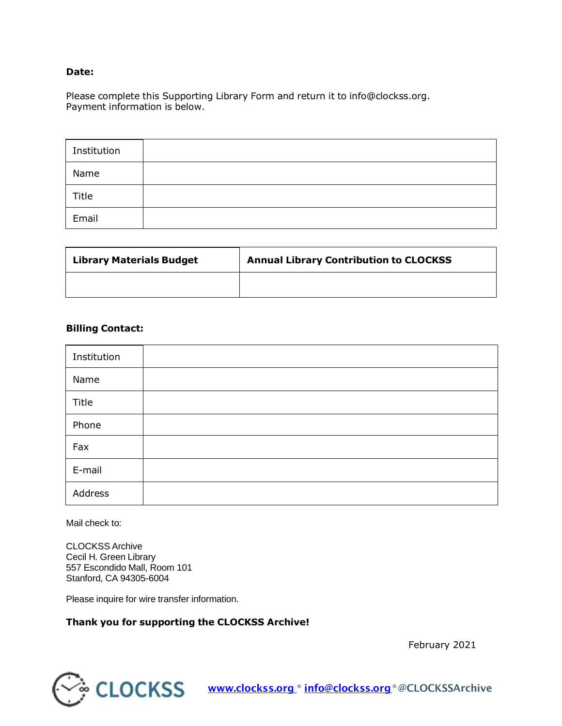#### **Date:**

Please complete this Supporting Library Form and return it to [info@clockss.org.](mailto:info@clockss.org) Payment information is below.

| Institution |  |
|-------------|--|
| Name        |  |
| Title       |  |
| Email       |  |

| <b>Library Materials Budget</b> | <b>Annual Library Contribution to CLOCKSS</b> |
|---------------------------------|-----------------------------------------------|
|                                 |                                               |

#### **Billing Contact:**

| Institution |  |
|-------------|--|
| Name        |  |
| Title       |  |
| Phone       |  |
| Fax         |  |
| E-mail      |  |
| Address     |  |

Mail check to:

CLOCKSS Archive Cecil H. Green Library 557 Escondido Mall, Room 101 Stanford, CA 94305-6004

Please inquire for wire transfer information.

#### **Thank you for supporting the CLOCKSS Archive!**

February 2021